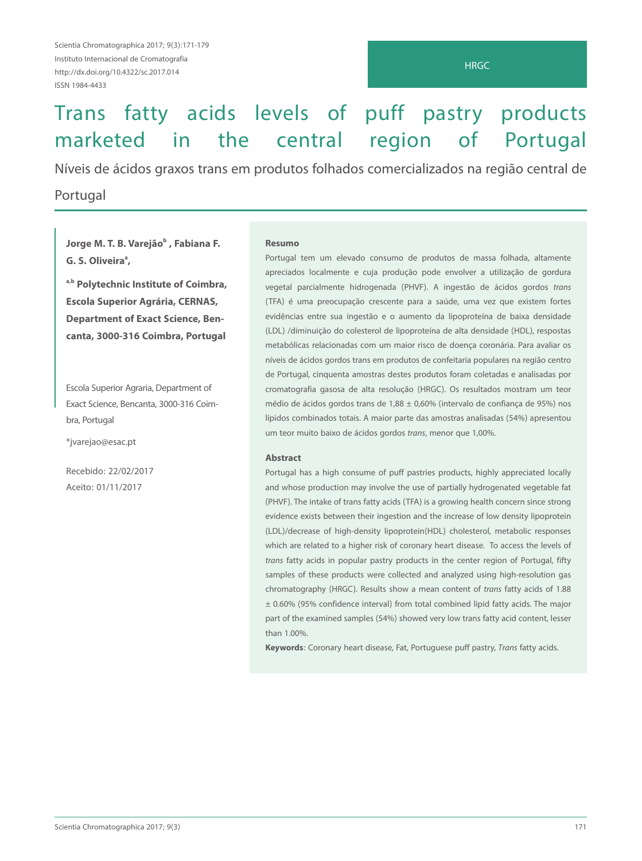# Trans fatty acids levels of puff pastry products marketed in the central region of Portugal

Níveis de ácidos graxos trans em produtos folhados comercializados na região central de

## Portugal

Jorge M<mark>. T.</mark> B. Varejão $^{\rm b}$  , Fabiana F. **G. S. Oliveira**<sup>a</sup>, **,**

**a,b Polytechnic Institute of Coimbra, Escola Superior Agrária, CERNAS, Department of Exact Science, Bencanta, 3000-316 Coimbra, Portugal**

Escola Superior Agraria, Department of Exact Science, Bencanta, 3000-316 Coimbra, Portugal

\*jvarejao@esac.pt

Recebido: 22/02/2017 Aceito: 01/11/2017

#### **Resumo**

Portugal tem um elevado consumo de produtos de massa folhada, altamente apreciados localmente e cuja produção pode envolver a utilização de gordura vegetal parcialmente hidrogenada (PHVF). A ingestão de ácidos gordos trans (TFA) é uma preocupação crescente para a saúde, uma vez que existem fortes evidências entre sua ingestão e o aumento da lipoproteína de baixa densidade (LDL) /diminuição do colesterol de lipoproteína de alta densidade (HDL), respostas metabólicas relacionadas com um maior risco de doença coronária. Para avaliar os níveis de ácidos gordos trans em produtos de confeitaria populares na região centro de Portugal, cinquenta amostras destes produtos foram coletadas e analisadas por cromatografia gasosa de alta resolução (HRGC). Os resultados mostram um teor médio de ácidos gordos trans de 1,88 ± 0,60% (intervalo de confiança de 95%) nos lípidos combinados totais. A maior parte das amostras analisadas (54%) apresentou um teor muito baixo de ácidos gordos trans, menor que 1,00%.

#### **Abstract**

Portugal has a high consume of puff pastries products, highly appreciated locally and whose production may involve the use of partially hydrogenated vegetable fat (PHVF). The intake of trans fatty acids (TFA) is a growing health concern since strong evidence exists between their ingestion and the increase of low density lipoprotein (LDL)/decrease of high-density lipoprotein(HDL) cholesterol, metabolic responses which are related to a higher risk of coronary heart disease. To access the levels of trans fatty acids in popular pastry products in the center region of Portugal, fifty samples of these products were collected and analyzed using high-resolution gas chromatography (HRGC). Results show a mean content of trans fatty acids of 1.88 ± 0.60% (95% confidence interval) from total combined lipid fatty acids. The major part of the examined samples (54%) showed very low trans fatty acid content, lesser than 1.00%.

**Keywords**: Coronary heart disease, Fat, Portuguese puff pastry, Trans fatty acids.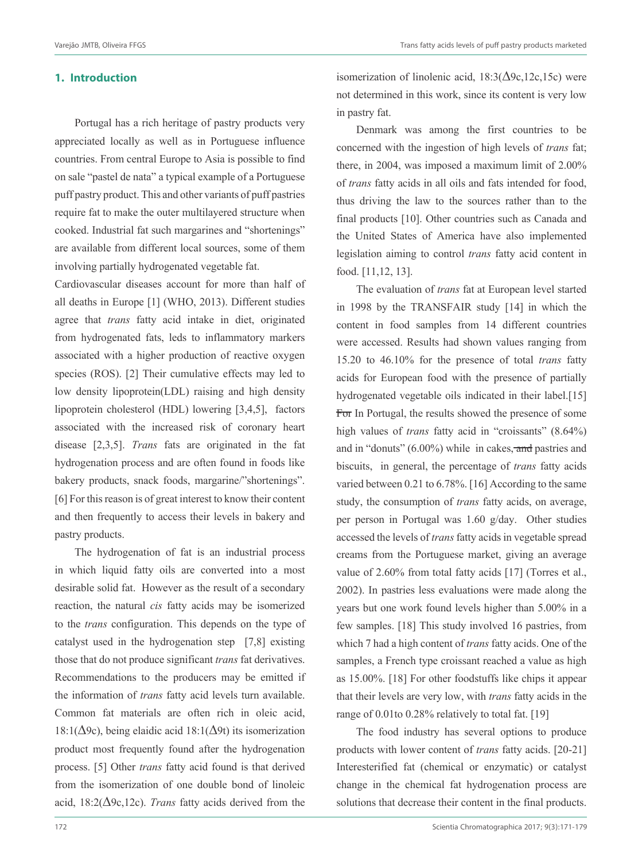#### **1. Introduction**

Portugal has a rich heritage of pastry products very appreciated locally as well as in Portuguese influence countries. From central Europe to Asia is possible to find on sale "pastel de nata" a typical example of a Portuguese puff pastry product. This and other variants of puff pastries require fat to make the outer multilayered structure when cooked. Industrial fat such margarines and "shortenings" are available from different local sources, some of them involving partially hydrogenated vegetable fat.

Cardiovascular diseases account for more than half of all deaths in Europe [1] (WHO, 2013). Different studies agree that *trans* fatty acid intake in diet, originated from hydrogenated fats, leds to inflammatory markers associated with a higher production of reactive oxygen species (ROS). [2] Their cumulative effects may led to low density lipoprotein(LDL) raising and high density lipoprotein cholesterol (HDL) lowering [3,4,5], factors associated with the increased risk of coronary heart disease [2,3,5]. *Trans* fats are originated in the fat hydrogenation process and are often found in foods like bakery products, snack foods, margarine/"shortenings". [6] For this reason is of great interest to know their content and then frequently to access their levels in bakery and pastry products.

The hydrogenation of fat is an industrial process in which liquid fatty oils are converted into a most desirable solid fat. However as the result of a secondary reaction, the natural *cis* fatty acids may be isomerized to the *trans* configuration. This depends on the type of catalyst used in the hydrogenation step [7,8] existing those that do not produce significant *trans* fat derivatives. Recommendations to the producers may be emitted if the information of *trans* fatty acid levels turn available. Common fat materials are often rich in oleic acid, 18:1(∆9c), being elaidic acid 18:1(∆9t) its isomerization product most frequently found after the hydrogenation process. [5] Other *trans* fatty acid found is that derived from the isomerization of one double bond of linoleic acid, 18:2(∆9c,12c). *Trans* fatty acids derived from the

isomerization of linolenic acid,  $18:3(\Delta 9c, 12c, 15c)$  were not determined in this work, since its content is very low in pastry fat.

Denmark was among the first countries to be concerned with the ingestion of high levels of *trans* fat; there, in 2004, was imposed a maximum limit of 2.00% of *trans* fatty acids in all oils and fats intended for food, thus driving the law to the sources rather than to the final products [10]. Other countries such as Canada and the United States of America have also implemented legislation aiming to control *trans* fatty acid content in food. [11,12, 13].

The evaluation of *trans* fat at European level started in 1998 by the TRANSFAIR study [14] in which the content in food samples from 14 different countries were accessed. Results had shown values ranging from 15.20 to 46.10% for the presence of total *trans* fatty acids for European food with the presence of partially hydrogenated vegetable oils indicated in their label.[15] For In Portugal, the results showed the presence of some high values of *trans* fatty acid in "croissants" (8.64%) and in "donuts" (6.00%) while in cakes, and pastries and biscuits, in general, the percentage of *trans* fatty acids varied between 0.21 to 6.78%. [16] According to the same study, the consumption of *trans* fatty acids, on average, per person in Portugal was 1.60 g/day. Other studies accessed the levels of *trans* fatty acids in vegetable spread creams from the Portuguese market, giving an average value of 2.60% from total fatty acids [17] (Torres et al., 2002). In pastries less evaluations were made along the years but one work found levels higher than 5.00% in a few samples. [18] This study involved 16 pastries, from which 7 had a high content of *trans* fatty acids. One of the samples, a French type croissant reached a value as high as 15.00%. [18] For other foodstuffs like chips it appear that their levels are very low, with *trans* fatty acids in the range of 0.01to 0.28% relatively to total fat. [19]

The food industry has several options to produce products with lower content of *trans* fatty acids. [20-21] Interesterified fat (chemical or enzymatic) or catalyst change in the chemical fat hydrogenation process are solutions that decrease their content in the final products.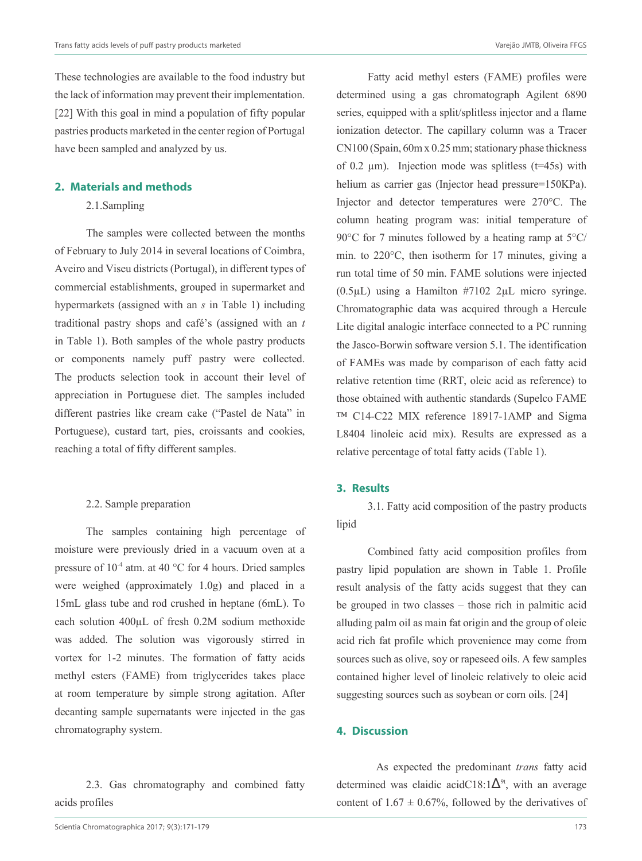These technologies are available to the food industry but the lack of information may prevent their implementation. [22] With this goal in mind a population of fifty popular pastries products marketed in the center region of Portugal have been sampled and analyzed by us.

#### **2. Materials and methods**

#### 2.1.Sampling

The samples were collected between the months of February to July 2014 in several locations of Coimbra, Aveiro and Viseu districts (Portugal), in different types of commercial establishments, grouped in supermarket and hypermarkets (assigned with an *s* in Table 1) including traditional pastry shops and café's (assigned with an *t* in Table 1). Both samples of the whole pastry products or components namely puff pastry were collected. The products selection took in account their level of appreciation in Portuguese diet. The samples included different pastries like cream cake ("Pastel de Nata" in Portuguese), custard tart, pies, croissants and cookies, reaching a total of fifty different samples.

#### 2.2. Sample preparation

The samples containing high percentage of moisture were previously dried in a vacuum oven at a pressure of  $10^{-4}$  atm. at 40 °C for 4 hours. Dried samples were weighed (approximately 1.0g) and placed in a 15mL glass tube and rod crushed in heptane (6mL). To each solution 400μL of fresh 0.2M sodium methoxide was added. The solution was vigorously stirred in vortex for 1-2 minutes. The formation of fatty acids methyl esters (FAME) from triglycerides takes place at room temperature by simple strong agitation. After decanting sample supernatants were injected in the gas chromatography system.

2.3. Gas chromatography and combined fatty acids profiles

determined using a gas chromatograph Agilent 6890 series, equipped with a split/splitless injector and a flame ionization detector. The capillary column was a Tracer CN100 (Spain, 60m x 0.25 mm; stationary phase thickness of 0.2  $\mu$ m). Injection mode was splitless (t=45s) with helium as carrier gas (Injector head pressure=150KPa). Injector and detector temperatures were 270°C. The column heating program was: initial temperature of 90°C for 7 minutes followed by a heating ramp at 5°C/ min. to 220°C, then isotherm for 17 minutes, giving a run total time of 50 min. FAME solutions were injected (0.5µL) using a Hamilton #7102 2µL micro syringe. Chromatographic data was acquired through a Hercule Lite digital analogic interface connected to a PC running the Jasco-Borwin software version 5.1. The identification of FAMEs was made by comparison of each fatty acid relative retention time (RRT, oleic acid as reference) to those obtained with authentic standards (Supelco FAME ™ C14-C22 MIX reference 18917-1AMP and Sigma L8404 linoleic acid mix). Results are expressed as a relative percentage of total fatty acids (Table 1).

Fatty acid methyl esters (FAME) profiles were

## **3. Results**

3.1. Fatty acid composition of the pastry products lipid

Combined fatty acid composition profiles from pastry lipid population are shown in Table 1. Profile result analysis of the fatty acids suggest that they can be grouped in two classes – those rich in palmitic acid alluding palm oil as main fat origin and the group of oleic acid rich fat profile which provenience may come from sources such as olive, soy or rapeseed oils. A few samples contained higher level of linoleic relatively to oleic acid suggesting sources such as soybean or corn oils. [24]

#### **4. Discussion**

As expected the predominant *trans* fatty acid determined was elaidic acidC18:1 $\Delta^{9t}$ , with an average content of  $1.67 \pm 0.67\%$ , followed by the derivatives of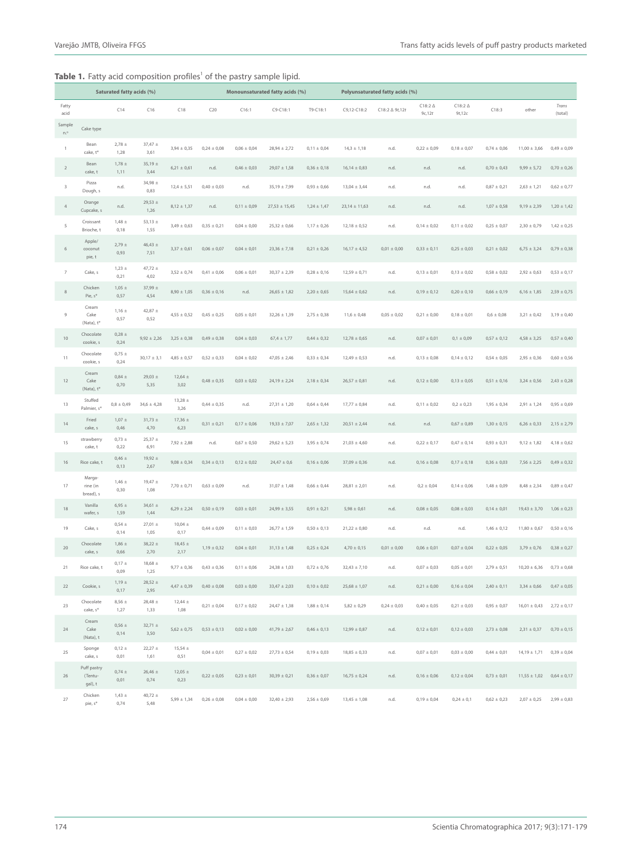### **Table 1.** Fatty acid composition profiles<sup>1</sup> of the pastry sample lipid.

|                | Saturated fatty acids (%)               |                    |                     | Monounsaturated fatty acids (%) |                 |                 | Polyunsaturated fatty acids (%) |                 |                   |                           |                          |                           |                 |                                  |                  |
|----------------|-----------------------------------------|--------------------|---------------------|---------------------------------|-----------------|-----------------|---------------------------------|-----------------|-------------------|---------------------------|--------------------------|---------------------------|-----------------|----------------------------------|------------------|
| Fatty<br>acid  |                                         | C14                | C16                 | C18                             | C20             | C16:1           | C9-C18:1                        | T9-C18:1        | C9,12-C18:2       | $C18:2 \triangle 9t, 12t$ | $C18:2 \Delta$<br>9c,12t | $C18:2 \Delta$<br>9t, 12c | C18:3           | other                            | Trans<br>(total) |
| Sample<br>n.°  | Cake type                               |                    |                     |                                 |                 |                 |                                 |                 |                   |                           |                          |                           |                 |                                  |                  |
| $\mathbf{1}$   | Bean<br>cake, t*                        | $2,78 \pm$<br>1,28 | $37,47 \pm$<br>3,61 | $3,94 \pm 0,35$                 | $0,24 \pm 0,08$ | $0,06 \pm 0,04$ | $28,94 \pm 2,72$                | $0,11 \pm 0,04$ | $14,3 \pm 1,18$   | n.d.                      | $0,22 \pm 0,09$          | $0,18 \pm 0,07$           | $0,74 \pm 0,06$ | $11,00 \pm 3,66$                 | $0,49 \pm 0,09$  |
| $\sqrt{2}$     | Bean<br>cake, t                         | $1,78 \pm$<br>1,11 | $35,19 \pm$<br>3,44 | $6,21 \pm 0,61$                 | n.d.            | $0,46 \pm 0,03$ | $29,07 \pm 1,58$                | $0,36 \pm 0,18$ | $16,14 \pm 0,83$  | n.d.                      | n.d.                     | n.d.                      | $0,70 \pm 0,43$ | $9,99 \pm 5,72$                  | $0,70 \pm 0,26$  |
| $\,$ 3         | Pizza<br>Dough, s                       | n.d.               | $34,98 \pm$<br>0,83 | $12,4 \pm 5,51$                 | $0,40 \pm 0,03$ | n.d.            | $35,19 \pm 7,99$                | $0,93 \pm 0,66$ | $13,04 \pm 3,44$  | n.d.                      | n.d.                     | n.d.                      | $0,87 \pm 0,21$ | $2,63 \pm 1,21$                  | $0,62 \pm 0,77$  |
| $\sqrt{4}$     | Orange<br>Cupcake, s                    | n.d.               | $29,53 \pm$<br>1,26 | $8,12 \pm 1,37$                 | n.d.            | $0,11 \pm 0,09$ | $27,53 \pm 15,45$               | $1,24 \pm 1,47$ | $23,14 \pm 11,63$ | n.d.                      | n.d.                     | n.d.                      | $1,07 \pm 0,58$ | $9,19 \pm 2,39$                  | $1,20 \pm 1,42$  |
| 5              | Croissant<br>Brioche, t                 | $1,48 \pm$<br>0,18 | 53,13 $\pm$<br>1,55 | $3,49 \pm 0,63$                 | $0,35 \pm 0,21$ | $0,04 \pm 0,00$ | $25,32 \pm 0,66$                | $1,17 \pm 0,26$ | $12,18 \pm 0,52$  | n.d.                      | $0,14 \pm 0,02$          | $0,11 \pm 0,02$           | $0,25 \pm 0,07$ | $2,30 \pm 0,79$                  | $1,42 \pm 0,25$  |
| $\,$ 6 $\,$    | Apple/<br>coconut<br>pie, t             | $2,79 \pm$<br>0,93 | $46,43 \pm$<br>7,51 | $3,37 \pm 0,61$                 | $0,06 \pm 0,07$ | $0,04 \pm 0,01$ | $23,36 \pm 7,18$                | $0,21 \pm 0,26$ | $16,17 \pm 4,52$  | $0,01 \pm 0,00$           | $0,33 \pm 0,11$          | $0,25 \pm 0,03$           | $0,21 \pm 0,02$ | $6,75 \pm 3,24$                  | $0,79 \pm 0,38$  |
| $\overline{7}$ | Cake, s                                 | $1,23 \pm$<br>0,21 | $47,72 \pm$<br>4,02 | $3,52 \pm 0,74$                 | $0,41 \pm 0,06$ | $0,06 \pm 0,01$ | $30,37 \pm 2,39$                | $0,28 \pm 0,16$ | $12,59 \pm 0,71$  | n.d.                      | $0,13 \pm 0,01$          | $0,13 \pm 0,02$           | $0,58 \pm 0,02$ | $2,92 \pm 0,63$                  | $0,53 \pm 0,17$  |
| 8              | Chicken<br>Pie, $s^*$                   | $1,05 \pm$<br>0,57 | 37,99 ±<br>4,54     | $8,90 \pm 1,05$                 | $0,36 \pm 0,16$ | n.d.            | $26,65 \pm 1,82$                | $2,20 \pm 0,65$ | $15,64 \pm 0,62$  | n.d.                      | $0,19 \pm 0,12$          | $0,20 \pm 0,10$           | $0,66 \pm 0,19$ | $6,16 \pm 1,85$                  | $2,59 \pm 0,75$  |
| 9              | Cream<br>Cake<br>(Nata), t <sup>*</sup> | $1,16 \pm$<br>0,57 | $42,87 \pm$<br>0,52 | $4,55 \pm 0,52$                 | $0,45 \pm 0,25$ | $0,05 \pm 0,01$ | $32,26 \pm 1,39$                | $2,75 \pm 0,38$ | $11,6 \pm 0,48$   | $0,05 \pm 0,02$           | $0,21 \pm 0,00$          | $0,18 \pm 0,01$           | $0,6 \pm 0,08$  | $3,21 \pm 0,42$                  | $3,19 \pm 0,40$  |
| $10$           | Chocolate<br>cookie, s                  | $0,28 \pm$<br>0,24 | $9,92 \pm 2,26$     | $3,25 \pm 0,38$                 | $0,49 \pm 0,38$ | $0,04 \pm 0,03$ | $67.4 \pm 1.77$                 | $0,44 \pm 0,32$ | $12,78 \pm 0,65$  | n.d.                      | $0,07 \pm 0,01$          | $0,1 \pm 0,09$            | $0.57 \pm 0.12$ | $4,58 \pm 3,25$                  | $0,57 \pm 0,40$  |
| 11             | Chocolate<br>cookie, s                  | $0,75 \pm$<br>0,24 | $30,17 \pm 3,1$     | $4,85 \pm 0,57$                 | $0,52 \pm 0,33$ | $0,04 \pm 0,02$ | $47,05 \pm 2,46$                | $0,33 \pm 0,34$ | $12,49 \pm 0,53$  | n.d.                      | $0,13 \pm 0,08$          | $0,14 \pm 0,12$           | $0,54 \pm 0,05$ | $2,95 \pm 0,36$                  | $0,60 \pm 0,56$  |
| 12             | Cream<br>Cake<br>(Nata), t <sup>*</sup> | $0,84 \pm$<br>0,70 | $29,03 \pm$<br>5,35 | $12,64 \pm$<br>3,02             | $0,48 \pm 0,35$ | $0,03 \pm 0,02$ | $24,19 \pm 2,24$                | $2,18 \pm 0,34$ | $26,57 \pm 0,81$  | n.d.                      | $0,12 \pm 0,00$          | $0,13 \pm 0,05$           | $0,51 \pm 0,16$ | $3,24 \pm 0,56$                  | $2,43 \pm 0,28$  |
| 13             | Stuffed<br>Palmier, s <sup>*</sup>      | $0,8 \pm 0,49$     | $34,6 \pm 4,28$     | $13,28 \pm$<br>3,26             | $0,44 \pm 0,35$ | n.d.            | $27,31 \pm 1,20$                | $0,64 \pm 0,44$ | $17,77 \pm 0,84$  | n.d.                      | $0,11 \pm 0,02$          | $0,2 \pm 0,23$            | $1,95 \pm 0,34$ | $2,91 \pm 1,24$                  | $0,95 \pm 0,69$  |
| 14             | Fried<br>cake, s                        | $1,07 \pm$<br>0,46 | $31,73 \pm$<br>4,70 | $17,36 \pm$<br>6,23             | $0,31 \pm 0,21$ | $0,17 \pm 0,06$ | $19,33 \pm 7,07$                | $2,65 \pm 1,32$ | $20,51 \pm 2,44$  | n.d.                      | n.d.                     | $0,67 \pm 0,89$           | $1,30 \pm 0,15$ | $6,26 \pm 0,33$                  | $2,15 \pm 2,79$  |
| 15             | strawberry<br>cake, t                   | $0,73 \pm$<br>0,22 | $25,37 \pm$<br>6,91 | $7,92 \pm 2,88$                 | n.d.            | $0,67 \pm 0,50$ | $29,62 \pm 5,23$                | $3,95 \pm 0,74$ | $21,03 \pm 4,60$  | n.d.                      | $0,22 \pm 0,17$          | $0,47 \pm 0,14$           | $0,93 \pm 0,31$ | $9,12 \pm 1,82$                  | $4,18 \pm 0,62$  |
| 16             | Rice cake, t                            | $0,46 \pm$<br>0,13 | $19,92 \pm$<br>2,67 | $9,08 \pm 0,34$                 | $0,34 \pm 0,13$ | $0,12 \pm 0,02$ | $24,47 \pm 0,6$                 | $0,16 \pm 0,06$ | $37,09 \pm 0,36$  | n.d.                      | $0,16 \pm 0,08$          | $0,17 \pm 0,18$           | $0,36 \pm 0,03$ | $7,56 \pm 2,25$                  | $0,49 \pm 0,32$  |
| 17             | Marga-<br>rine (in<br>bread), s         | $1,46 \pm$<br>0,30 | $19,47 \pm$<br>1,08 | $7,70 \pm 0,71$                 | $0,63 \pm 0,09$ | n.d.            | $31,07 \pm 1,48$                | $0,66 \pm 0,44$ | $28,81 \pm 2,01$  | n.d.                      | $0,2 \pm 0,04$           | $0,14 \pm 0,06$           | $1,48 \pm 0,09$ | $8,48 \pm 2,34$                  | $0,89 \pm 0,47$  |
| 18             | Vanilla<br>wafer, s                     | $6,95 \pm$<br>1,59 | $34,61 \pm$<br>1,44 | $6,29 \pm 2,24$                 | $0,50 \pm 0,19$ | $0,03 \pm 0,01$ | $24,99 \pm 3,55$                | $0,91 \pm 0,21$ | $5,98 \pm 0,61$   | n.d.                      | $0,08 \pm 0,05$          | $0,08 \pm 0,03$           | $0,14 \pm 0,01$ | $19,43 \pm 3,70$                 | $1,06 \pm 0,23$  |
| 19             | Cake, s                                 | $0,54 \pm$<br>0,14 | $27,01 \pm$<br>1,05 | $10,04 \pm$<br>0,17             | $0,44 \pm 0,09$ | $0,11 \pm 0,03$ | $26,77 \pm 1,59$                | $0,50 \pm 0,13$ | $21,22 \pm 0,80$  | n.d.                      | n.d.                     | n.d.                      | $1,46 \pm 0,12$ | $11,80 \pm 0,67$                 | $0,50 \pm 0,16$  |
| 20             | Chocolate<br>cake, s                    | $1,86 \pm$<br>0,66 | $38,22 \pm$<br>2,70 | $18,45 \pm$<br>2,17             | $1,19 \pm 0,32$ | $0,04 \pm 0,01$ | $31,13 \pm 1,48$                | $0,25 \pm 0,24$ | $4,70 \pm 0,15$   | $0,01 \pm 0,00$           | $0,06 \pm 0,01$          | $0,07 \pm 0,04$           | $0.22 \pm 0.05$ | $3.79 \pm 0.76$                  | $0,38 \pm 0,27$  |
| 21             | Rice cake, t                            | $0,17 \pm$<br>0,09 | $18,68 \pm$<br>1,25 | $9,77 \pm 0,36$                 | $0,43 \pm 0,36$ | $0,11 \pm 0,06$ | $24,38 \pm 1,03$                | $0,72 \pm 0,76$ | $32,43 \pm 7,10$  | n.d.                      | $0,07 \pm 0,03$          | $0,05 \pm 0,01$           | $2,79 \pm 0,51$ | $10,20 \pm 6,36$                 | $0,73 \pm 0,68$  |
| 22             | Cookie, s                               | $1,19 \pm$<br>0,17 | $28,52 \pm$<br>2,95 | $4,47 \pm 0,39$                 | $0,40 \pm 0,08$ | $0,03 \pm 0,00$ | $33,47 \pm 2,03$                | $0,10 \pm 0,02$ | $25,68 \pm 1,07$  | n.d.                      | $0,21 \pm 0,00$          | $0,16 \pm 0,04$           | $2,40 \pm 0,11$ | $3,34 \pm 0,66$ 0,47 $\pm$ 0,05  |                  |
| 23             | Chocolate<br>cake, s <sup>*</sup>       | $8,56 \pm$<br>1,27 | $28,48 \pm$<br>1,33 | $12,44 \pm$<br>1,08             | $0.21 \pm 0.04$ | $0,17 \pm 0,02$ | $24,47 \pm 1,38$                | $1,88 \pm 0,14$ | $5,82 \pm 0,29$   | $0,24 \pm 0,03$           | $0,40 \pm 0,05$          | $0,21 \pm 0,03$           | $0,95 \pm 0,07$ | $16,01 \pm 0,43$ 2,72 $\pm 0,17$ |                  |
| 24             | Cream<br>Cake<br>(Nata), t              | $0,56 \pm$<br>0,14 | $32,71 \pm$<br>3,50 | $5,62 \pm 0,75$                 | $0.53 \pm 0.13$ | $0,02 \pm 0,00$ | $41,79 \pm 2,67$                | $0,46 \pm 0,13$ | $12,99 \pm 0,87$  | n.d.                      | $0,12 \pm 0,01$          | $0,12 \pm 0,03$           | $2,73 \pm 0,08$ | $2,31 \pm 0,37$ 0,70 $\pm$ 0,15  |                  |
| 25             | Sponge<br>cake, s                       | $0,12 \pm$<br>0,01 | $22,27 \pm$<br>1,61 | $15,54 \pm$<br>0,51             | $0,04 \pm 0,01$ | $0,27 \pm 0,02$ | $27{,}73\pm0{,}54$              | $0,19 \pm 0,03$ | $18,85 \pm 0,33$  | n.d.                      | $0,07 \pm 0,01$          | $0,03 \pm 0,00$           | $0,44 \pm 0,01$ | $14,19 \pm 1,71$ 0,39 $\pm$ 0,04 |                  |
| 26             | Puff pastry<br>(Tentu-<br>gal), t       | $0,74 \pm$<br>0,01 | $26,46 \pm$<br>0,74 | $12,05 \pm$<br>0,23             | $0,22 \pm 0,05$ | $0,23 \pm 0,01$ | $30,39 \pm 0,21$                | $0,36 \pm 0,07$ | $16,75 \pm 0,24$  | n.d.                      | $0,16 \pm 0,06$          | $0,12 \pm 0,04$           | $0,73 \pm 0,01$ | $11,55 \pm 1,02$ 0,64 $\pm$ 0,17 |                  |
| 27             | Chicken<br>pie, s <sup>*</sup>          | $1,43 \pm$<br>0,74 | $40,72 \pm$<br>5,48 | $5,99 \pm 1,34$                 | $0,26 \pm 0,08$ | $0,04 \pm 0,00$ | $32,40 \pm 2,93$                | $2,56 \pm 0,69$ | $13,45 \pm 1,08$  | n.d.                      | $0,19 \pm 0,04$          | $0,24 \pm 0,1$            | $0,62 \pm 0,23$ | $2,07 \pm 0,25$                  | $2,99 \pm 0,83$  |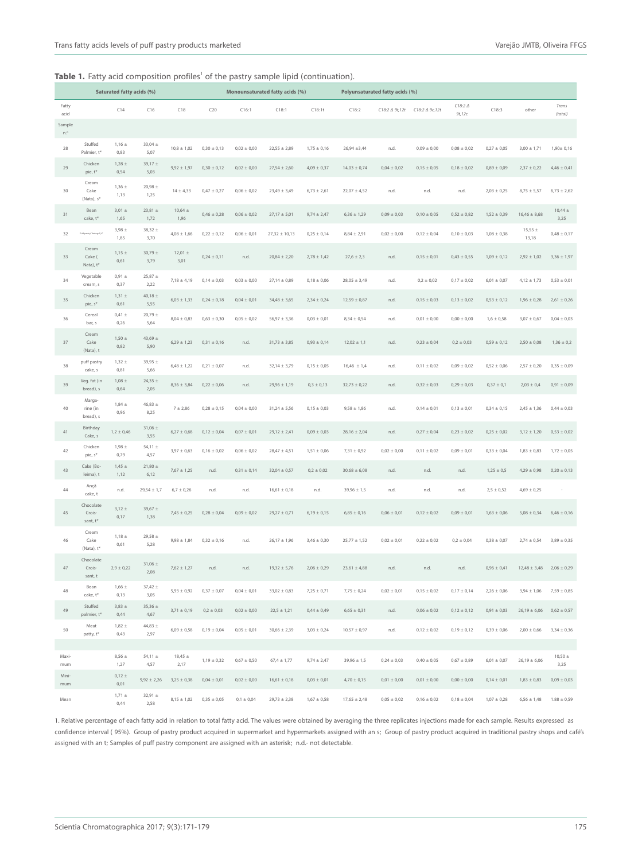### **Table 1.** Fatty acid composition profiles<sup>1</sup> of the pastry sample lipid (continuation).

|               | Saturated fatty acids (%)                |                    |                     |                                 | Monounsaturated fatty acids (%) |                 |                   |                 | Polyunsaturated fatty acids (%) |                 |                 |                           |                 |                      |                     |
|---------------|------------------------------------------|--------------------|---------------------|---------------------------------|---------------------------------|-----------------|-------------------|-----------------|---------------------------------|-----------------|-----------------|---------------------------|-----------------|----------------------|---------------------|
| Fatty<br>acid |                                          | C14                | C16                 | C18                             | C20                             | C16:1           | C18:1             | C18:1t          | C18:2                           | C18:2 ∆ 9t,12t  | C18:2 ∆ 9c,12t  | $C18:2 \Delta$<br>9t, 12c | C18:3           | other                | Trans<br>(total)    |
| Sample<br>n.° |                                          |                    |                     |                                 |                                 |                 |                   |                 |                                 |                 |                 |                           |                 |                      |                     |
| 28            | Stuffed<br>Palmier, t*                   | $1,16 \pm$<br>0,83 | $33,04 \pm$<br>5,07 | $10,8 \pm 1,02$                 | $0,30 \pm 0,13$                 | $0,02 \pm 0,00$ | $22,55 \pm 2,89$  | $1,75 \pm 0,16$ | $26,94 \pm 3,44$                | n.d.            | $0,09 \pm 0,00$ | $0,08 \pm 0,02$           | $0,27 \pm 0,05$ | $3,00 \pm 1,71$      | $1.90 \pm 0.16$     |
| 29            | Chicken<br>pie, t*                       | $1,28 \pm$<br>0,54 | $39,17 \pm$<br>5,03 | $9,92 \pm 1,97$                 | $0,30 \pm 0,12$                 | $0,02 \pm 0,00$ | $27,54 \pm 2,60$  | $4,09 \pm 0,37$ | $14,03 \pm 0,74$                | $0,04 \pm 0,02$ | $0,15 \pm 0,05$ | $0,18 \pm 0,02$           | $0,89 \pm 0,09$ | $2,37 \pm 0,22$      | $4,46 \pm 0,41$     |
| 30            | Cream<br>Cake<br>(Nata), s <sup>x</sup>  | $1,36 \pm$<br>1,13 | $20,98 \pm$<br>1,25 | $14 \pm 4.33$                   | $0,47 \pm 0,27$                 | $0,06 \pm 0,02$ | $23,49 \pm 3,49$  | $6,73 \pm 2,61$ | $22,07 \pm 4,52$                | n.d.            | n.d.            | n.d.                      | $2,03 \pm 0,25$ | $8,75 \pm 5,57$      | $6,73 \pm 2,62$     |
| 31            | Bean<br>cake, t <sup>*</sup>             | $3,01 \pm$<br>1,65 | $23,81 \pm$<br>1,72 | $10,64 \pm$<br>1,96             | $0,46 \pm 0,28$                 | $0,06 \pm 0,02$ | $27,17 \pm 5,01$  | $9,74 \pm 2,47$ | $6,36 \pm 1,29$                 | $0,09 \pm 0,03$ | $0,10 \pm 0,05$ | $0,52 \pm 0,82$           | $1,52 \pm 0,39$ | $16.46 \pm 8.68$     | $10,44 \pm$<br>3,25 |
| 32            | Puff pastry/Tentugall.t*                 | $3,98 \pm$<br>1,85 | $38,32 \pm$<br>3,70 | $4,08 \pm 1,66$                 | $0,22 \pm 0,12$                 | $0,06 \pm 0,01$ | $27,32 \pm 10,13$ | $0,25 \pm 0,14$ | $8,84 \pm 2,91$                 | $0,02 \pm 0,00$ | $0,12 \pm 0,04$ | $0,10 \pm 0,03$           | $1,08 \pm 0,38$ | $15,55 \pm$<br>13,18 | $0,48 \pm 0,17$     |
| 33            | Cream<br>Cake (<br>Nata), t <sup>*</sup> | $1,15 \pm$<br>0,61 | $30,79 \pm$<br>3,79 | $12,01 \pm$<br>3,01             | $0,24 \pm 0,11$                 | n.d.            | $20,84 \pm 2,20$  | $2,78 \pm 1,42$ | $27,6 \pm 2,3$                  | n.d.            | $0,15 \pm 0,01$ | $0,43 \pm 0,55$           | $1,09 \pm 0,12$ | $2,92 \pm 1,02$      | $3,36 \pm 1,97$     |
| 34            | Vegetable<br>cream, s                    | $0,91 \pm$<br>0,37 | $25,87 \pm$<br>2,22 | $7,18 \pm 4,19$                 | $0,14 \pm 0,03$                 | $0,03 \pm 0,00$ | $27,14 \pm 0,89$  | $0,18 \pm 0,06$ | $28,05 \pm 3,49$                | n.d.            | $0,2 \pm 0,02$  | $0,17 \pm 0,02$           | $6,01 \pm 0,07$ | $4,12 \pm 1,73$      | $0,53 \pm 0,01$     |
| 35            | Chicken<br>pie, s <sup>*</sup>           | $1,31 \pm$<br>0,61 | $40,18 \pm$<br>5,55 | $6,03 \pm 1,33$                 | $0,24 \pm 0,18$                 | $0,04 \pm 0,01$ | $34,48 \pm 3,65$  | $2,34 \pm 0,24$ | $12,59 \pm 0,87$                | n.d.            | $0,15 \pm 0,03$ | $0,13 \pm 0,02$           | $0,53 \pm 0,12$ | $1,96 \pm 0,28$      | $2,61 \pm 0,26$     |
| 36            | Cereal<br>bar, s                         | $0,41 \pm$<br>0,26 | $20,79 \pm$<br>5,64 | $8,04 \pm 0,83$                 | $0,63 \pm 0,30$                 | $0,05 \pm 0,02$ | $56,97 \pm 3,36$  | $0,03 \pm 0,01$ | $8,34 \pm 0,54$                 | n.d.            | $0,01 \pm 0,00$ | $0,00 \pm 0,00$           | $1,6 \pm 0,58$  | $3,07 \pm 0,67$      | $0,04 \pm 0,03$     |
| 37            | Cream<br>Cake<br>(Nata), t               | $1,50 \pm$<br>0,82 | $43,69 \pm$<br>5,90 | $6,29 \pm 1,23$                 | $0,31 \pm 0,16$                 | n.d.            | $31,73 \pm 3,85$  | $0,93 \pm 0,14$ | $12,02 \pm 1,1$                 | n.d.            | $0,23 \pm 0,04$ | $0,2 \pm 0,03$            | $0,59 \pm 0,12$ | $2,50 \pm 0,08$      | $1,36 \pm 0,2$      |
| 38            | puff pastry<br>cake, s                   | $1,32 \pm$<br>0,81 | 39,95 ±<br>5,66     | $6,48 \pm 1,22$                 | $0,21 \pm 0,07$                 | n.d.            | $32,14 \pm 3,79$  | $0,15 \pm 0,05$ | $16,46 \pm 1,4$                 | n.d.            | $0,11 \pm 0,02$ | $0,09 \pm 0,02$           | $0,52 \pm 0,06$ | $2,57 \pm 0,20$      | $0,35 \pm 0,09$     |
| 39            | Veg. fat (in<br>bread), s                | $1,08 \pm$<br>0,64 | $24,35 \pm$<br>2,05 | $8,36 \pm 3,84$                 | $0,22 \pm 0,06$                 | n.d.            | $29,96 \pm 1,19$  | $0,3 \pm 0,13$  | $32,73 \pm 0,22$                | n.d.            | $0,32 \pm 0,03$ | $0,29 \pm 0,03$           | $0,37 \pm 0,1$  | $2,03 \pm 0,4$       | $0,91 \pm 0,09$     |
| 40            | Marga-<br>rine (in<br>bread), s          | $1,84 \pm$<br>0,96 | $46,83 \pm$<br>8,25 | 7 ± 2,86                        | $0,28 \pm 0,15$                 | $0,04 \pm 0,00$ | $31,24 \pm 5,56$  | $0,15 \pm 0,03$ | $9,58 \pm 1,86$                 | n.d.            | $0,14 \pm 0,01$ | $0,13 \pm 0,01$           | $0,34 \pm 0,15$ | $2,45 \pm 1,36$      | $0,44 \pm 0,03$     |
| 41            | Birthday<br>Cake, s                      | $1,2 \pm 0,46$     | $31,06 \pm$<br>3,55 | $6,27 \pm 0,68$                 | $0,12 \pm 0,04$                 | $0,07 \pm 0,01$ | $29,12 \pm 2,41$  | $0,09 \pm 0,03$ | $28,16 \pm 2,04$                | n.d.            | $0,27 \pm 0,04$ | $0,23 \pm 0,02$           | $0,25 \pm 0,02$ | $3,12 \pm 1,20$      | $0,53 \pm 0,02$     |
| 42            | Chicken<br>pie, s <sup>*</sup>           | $1,98 \pm$<br>0,79 | 54,11 $\pm$<br>4,57 | $3,97 \pm 0,63$                 | $0,16 \pm 0,02$                 | $0,06 \pm 0,02$ | $28,47 \pm 4,51$  | $1,51 \pm 0,06$ | $7,31 \pm 0,92$                 | $0,02 \pm 0,00$ | $0,11 \pm 0,02$ | $0,09 \pm 0,01$           | $0,33 \pm 0,04$ | $1,83 \pm 0,83$      | $1,72 \pm 0,05$     |
| 43            | Cake (Bo-<br>leima), t                   | $1,45 \pm$<br>1,12 | $21,80\pm$<br>6,12  | $7,67 \pm 1,25$                 | n.d.                            | $0,31 \pm 0,14$ | $32,04 \pm 0,57$  | $0,2 \pm 0,02$  | $30,68 \pm 6,08$                | n.d.            | n.d.            | n.d.                      | $1,25 \pm 0,5$  | $4,29 \pm 0,98$      | $0,20 \pm 0,13$     |
| 44            | Ançã<br>cake, t                          | n.d.               | $29,54 \pm 1,7$     | $6,7 \pm 0,26$                  | n.d.                            | n.d.            | $16,61 \pm 0,18$  | n.d.            | $39,96 \pm 1,5$                 | n.d.            | n.d.            | n.d.                      | $2,5 \pm 0,52$  | $4,69 \pm 0,25$      | ×                   |
| 45            | Chocolate<br>Crois-<br>sant. t*          | $3,12 \pm$<br>0,17 | 39,67 $\pm$<br>1,38 | $7,45 \pm 0,25$                 | $0,28 \pm 0,04$                 | $0,09 \pm 0,02$ | $29,27 \pm 0,71$  | $6,19 \pm 0,15$ | $6,85 \pm 0,16$                 | $0,06 \pm 0,01$ | $0,12 \pm 0,02$ | $0,09 \pm 0,01$           | $1,63 \pm 0,06$ | $5,08 \pm 0,34$      | $6,46 \pm 0,16$     |
| 46            | Cream<br>Cake<br>(Nata), t <sup>*</sup>  | $1,18 \pm$<br>0,61 | $29,58 \pm$<br>5,28 | $9,98 \pm 1,84$                 | $0,32 \pm 0,16$                 | n.d.            | $26,17 \pm 1,96$  | $3,46 \pm 0,30$ | $25,77 \pm 1,52$                | $0,02 \pm 0,01$ | $0,22 \pm 0,02$ | $0,2 \pm 0,04$            | $0,38 \pm 0,07$ | $2,74 \pm 0,54$      | $3,89 \pm 0,35$     |
| 47            | Chocolate<br>Crois-<br>sant, t           | $2,9 \pm 0,22$     | $31,06 \pm$<br>2,08 | $7,62 \pm 1,27$                 | n.d.                            | n.d.            | $19,32 \pm 5,76$  | $2,06 \pm 0,29$ | $23,61 \pm 4,88$                | n.d.            | n.d.            | n.d.                      | $0,96 \pm 0,41$ | $12,48 \pm 3,48$     | $2,06 \pm 0,29$     |
| 48            | Bean<br>cake, t*                         | $1,66 \pm$<br>0,13 | $37,42 \pm$<br>3,05 |                                 | $5,93 \pm 0,92$ 0,37 $\pm$ 0,07 | $0,04 \pm 0,01$ | $33,02 \pm 0,83$  | $7,25 \pm 0,71$ | $7,75 \pm 0,24$                 | $0,02 \pm 0,01$ | $0,15 \pm 0,02$ | $0,17 \pm 0,14$           | $2.26 \pm 0.06$ | $3,94 \pm 1,06$      | $7,59 \pm 0,85$     |
| 49            | Stuffed<br>palmier, t*                   | $3,83 \pm$<br>0,44 | $35,36 \pm$<br>4,67 | $3,71 \pm 0,19$                 | $0.2 \pm 0.03$                  | $0.02 \pm 0.00$ | $22,5 \pm 1,21$   | $0.44 \pm 0.49$ | $6,65 \pm 0,31$                 | n.d.            | $0.06 \pm 0.02$ | $0,12 \pm 0,12$           | $0.91 \pm 0.03$ | $26,19 \pm 6,06$     | $0.62 \pm 0.57$     |
| 50            | Meat<br>patty, t*                        | $1,82 \pm$<br>0,43 | 44,83 $\pm$<br>2,97 | $6,09 \pm 0,58$                 | $0,19 \pm 0,04$                 | $0,05 \pm 0,01$ | $30,66 \pm 2,39$  | $3,03 \pm 0,24$ | $10,57 \pm 0,97$                | n.d.            | $0,12 \pm 0,02$ | $0,19 \pm 0,12$           | $0,39 \pm 0,06$ | $2,00 \pm 0,66$      | $3,34 \pm 0,36$     |
|               |                                          |                    |                     |                                 |                                 |                 |                   |                 |                                 |                 |                 |                           |                 |                      |                     |
| Maxi-<br>mum  |                                          | $8,56 \pm$<br>1,27 | 54,11 $\pm$<br>4,57 | $18,45 \pm$<br>2,17             | $1,19 \pm 0,32$                 | $0,67 \pm 0,50$ | $67,4 \pm 1,77$   | $9,74 \pm 2,47$ | $39.96 \pm 1.5$                 | $0,24 \pm 0,03$ | $0,40 \pm 0,05$ | $0,67 \pm 0,89$           | $6,01 \pm 0,07$ | $26,19 \pm 6,06$     | $10,50 \pm$<br>3,25 |
| Mini-<br>mum  |                                          | $0,12 \pm$<br>0,01 |                     | $9.92 \pm 2.26$ $3.25 \pm 0.38$ | $0.04 \pm 0.01$                 | $0.02 \pm 0.00$ | $16,61 \pm 0,18$  | $0.03 \pm 0.01$ | $4.70 \pm 0.15$                 | $0,01 \pm 0,00$ | $0.01 \pm 0.00$ | $0.00 \pm 0.00$           | $0.14 \pm 0.01$ | $1,83 \pm 0,83$      | $0.09 \pm 0.03$     |
| Mean          |                                          | $1,71 \pm$<br>0,44 | $32,91 \pm$<br>2,58 | $8,15 \pm 1,02$                 | $0,35 \pm 0,05$                 | $0,1 \pm 0,04$  | $29,73 \pm 2,38$  | $1,67 \pm 0,58$ | $17,65 \pm 2,48$                | $0,05 \pm 0,02$ | $0,16 \pm 0,02$ | $0,18 \pm 0,04$           | $1,07 \pm 0,28$ | $6,56 \pm 1,48$      | $1.88 \pm 0.59$     |

1. Relative percentage of each fatty acid in relation to total fatty acid. The values were obtained by averaging the three replicates injections made for each sample. Results expressed as confidence interval ( 95%). Group of pastry product acquired in supermarket and hypermarkets assigned with an s; Group of pastry product acquired in traditional pastry shops and café's assigned with an t; Samples of puff pastry component are assigned with an asterisk; n.d.- not detectable.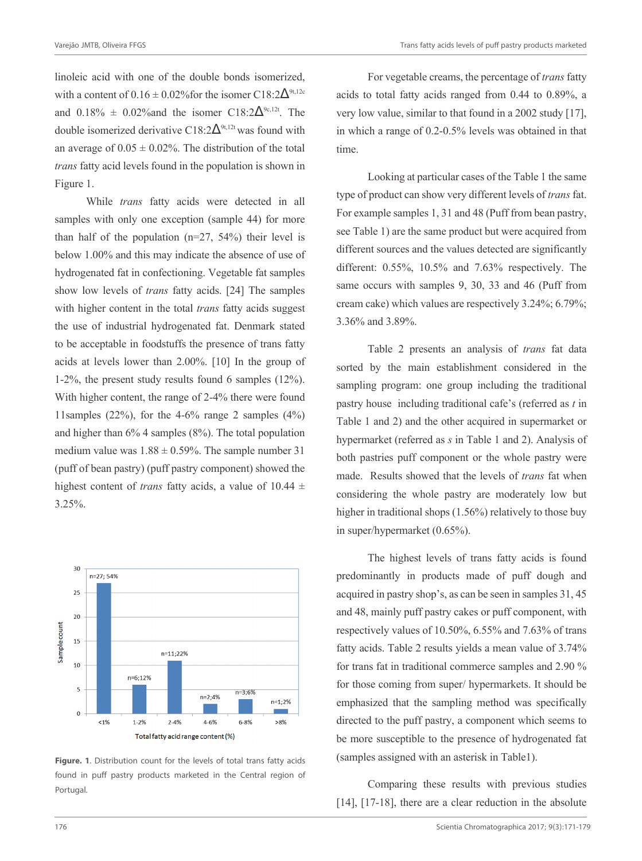linoleic acid with one of the double bonds isomerized, with a content of  $0.16 \pm 0.02\%$  for the isomer C18:2 $\Delta^{9t,12c}$ and 0.18%  $\pm$  0.02% and the isomer C18:2 $\Delta^{9c,12t}$ . The double isomerized derivative C18:2 $\Delta^{9t,12t}$  was found with an average of  $0.05 \pm 0.02\%$ . The distribution of the total *trans* fatty acid levels found in the population is shown in Figure 1.

While *trans* fatty acids were detected in all samples with only one exception (sample 44) for more than half of the population  $(n=27, 54%)$  their level is below 1.00% and this may indicate the absence of use of hydrogenated fat in confectioning. Vegetable fat samples show low levels of *trans* fatty acids. [24] The samples with higher content in the total *trans* fatty acids suggest the use of industrial hydrogenated fat. Denmark stated to be acceptable in foodstuffs the presence of trans fatty acids at levels lower than 2.00%. [10] In the group of 1-2%, the present study results found 6 samples (12%). With higher content, the range of 2-4% there were found 11 samples (22%), for the  $4-6\%$  range 2 samples (4%) and higher than 6% 4 samples (8%). The total population medium value was  $1.88 \pm 0.59\%$ . The sample number 31 (puff of bean pastry) (puff pastry component) showed the highest content of *trans* fatty acids, a value of 10.44 ± 3.25%.



**Figure. 1**. Distribution count for the levels of total trans fatty acids found in puff pastry products marketed in the Central region of Portugal.

For vegetable creams, the percentage of *trans* fatty acids to total fatty acids ranged from 0.44 to 0.89%, a very low value, similar to that found in a 2002 study [17], in which a range of 0.2-0.5% levels was obtained in that time.

Looking at particular cases of the Table 1 the same type of product can show very different levels of *trans* fat. For example samples 1, 31 and 48 (Puff from bean pastry, see Table 1) are the same product but were acquired from different sources and the values detected are significantly different: 0.55%, 10.5% and 7.63% respectively. The same occurs with samples 9, 30, 33 and 46 (Puff from cream cake) which values are respectively 3.24%; 6.79%; 3.36% and 3.89%.

Table 2 presents an analysis of *trans* fat data sorted by the main establishment considered in the sampling program: one group including the traditional pastry house including traditional cafe's (referred as *t* in Table 1 and 2) and the other acquired in supermarket or hypermarket (referred as *s* in Table 1 and 2). Analysis of both pastries puff component or the whole pastry were made. Results showed that the levels of *trans* fat when considering the whole pastry are moderately low but higher in traditional shops (1.56%) relatively to those buy in super/hypermarket (0.65%).

The highest levels of trans fatty acids is found predominantly in products made of puff dough and acquired in pastry shop's, as can be seen in samples 31, 45 and 48, mainly puff pastry cakes or puff component, with respectively values of 10.50%, 6.55% and 7.63% of trans fatty acids. Table 2 results yields a mean value of 3.74% for trans fat in traditional commerce samples and 2.90 % for those coming from super/ hypermarkets. It should be emphasized that the sampling method was specifically directed to the puff pastry, a component which seems to be more susceptible to the presence of hydrogenated fat (samples assigned with an asterisk in Table1).

Comparing these results with previous studies [14], [17-18], there are a clear reduction in the absolute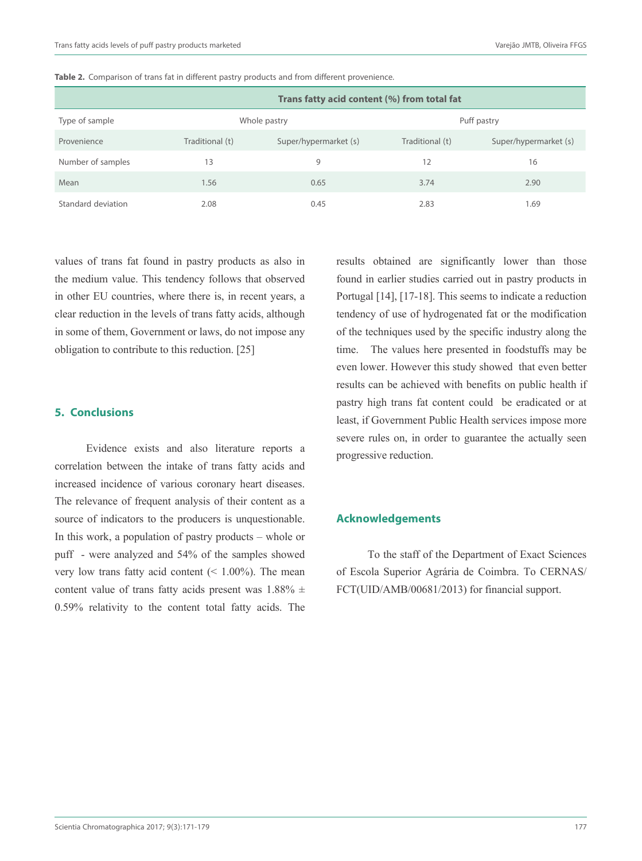|                    | Trans fatty acid content (%) from total fat |                       |                 |                       |  |  |  |  |  |
|--------------------|---------------------------------------------|-----------------------|-----------------|-----------------------|--|--|--|--|--|
| Type of sample     |                                             | Whole pastry          | Puff pastry     |                       |  |  |  |  |  |
| Provenience        | Traditional (t)                             | Super/hypermarket (s) | Traditional (t) | Super/hypermarket (s) |  |  |  |  |  |
| Number of samples  | 13                                          | 9                     | 12              | 16                    |  |  |  |  |  |
| Mean               | 1.56                                        | 0.65                  | 3.74            | 2.90                  |  |  |  |  |  |
| Standard deviation | 2.08                                        | 0.45                  | 2.83            | 1.69                  |  |  |  |  |  |

Table 2. Comparison of trans fat in different pastry products and from different provenience.

values of trans fat found in pastry products as also in the medium value. This tendency follows that observed in other EU countries, where there is, in recent years, a clear reduction in the levels of trans fatty acids, although in some of them, Government or laws, do not impose any obligation to contribute to this reduction. [25]

#### **5. Conclusions**

Evidence exists and also literature reports a correlation between the intake of trans fatty acids and increased incidence of various coronary heart diseases. The relevance of frequent analysis of their content as a source of indicators to the producers is unquestionable. In this work, a population of pastry products – whole or puff - were analyzed and 54% of the samples showed very low trans fatty acid content  $(< 1.00\%)$ . The mean content value of trans fatty acids present was  $1.88\% \pm$ 0.59% relativity to the content total fatty acids. The

results obtained are significantly lower than those found in earlier studies carried out in pastry products in Portugal [14], [17-18]. This seems to indicate a reduction tendency of use of hydrogenated fat or the modification of the techniques used by the specific industry along the time. The values here presented in foodstuffs may be even lower. However this study showed that even better results can be achieved with benefits on public health if pastry high trans fat content could be eradicated or at least, if Government Public Health services impose more severe rules on, in order to guarantee the actually seen progressive reduction.

## **Acknowledgements**

To the staff of the Department of Exact Sciences of Escola Superior Agrária de Coimbra. To CERNAS/ FCT(UID/AMB/00681/2013) for financial support.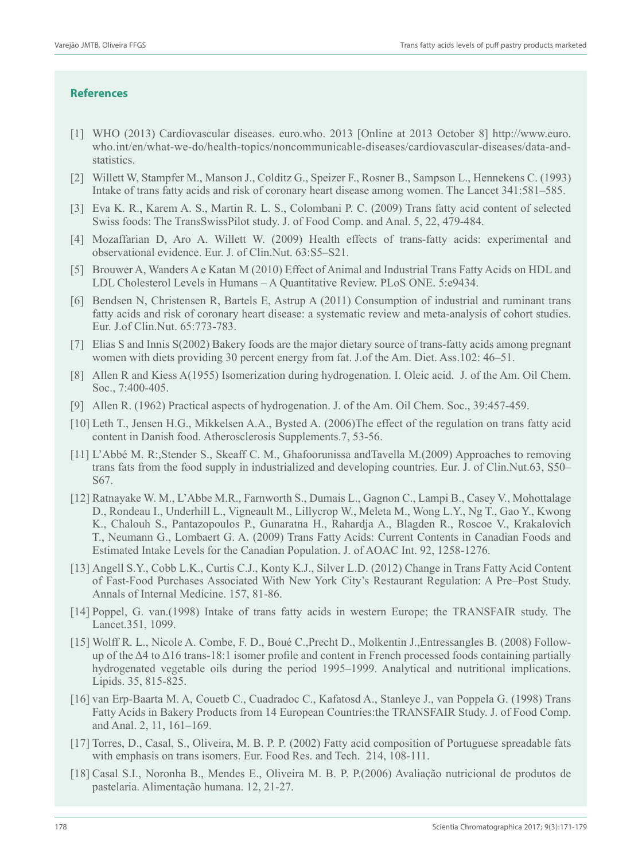## **References**

- [1] WHO (2013) Cardiovascular diseases. euro.who. 2013 [Online at 2013 October 8] http://www.euro. who.int/en/what-we-do/health-topics/noncommunicable-diseases/cardiovascular-diseases/data-andstatistics.
- [2] Willett W, Stampfer M., Manson J., Colditz G., Speizer F., Rosner B., Sampson L., Hennekens C. (1993) Intake of trans fatty acids and risk of coronary heart disease among women. The Lancet 341:581–585.
- [3] Eva K. R., Karem A. S., Martin R. L. S., Colombani P. C. (2009) Trans fatty acid content of selected Swiss foods: The TransSwissPilot study. J. of Food Comp. and Anal. 5, 22, 479-484.
- [4] Mozaffarian D, Aro A. Willett W. (2009) Health effects of trans-fatty acids: experimental and observational evidence. Eur. J. of Clin.Nut. 63:S5–S21.
- [5] Brouwer A, Wanders A e Katan M (2010) Effect of Animal and Industrial Trans Fatty Acids on HDL and LDL Cholesterol Levels in Humans – A Quantitative Review. PLoS ONE. 5:e9434.
- [6] Bendsen N, Christensen R, Bartels E, Astrup A (2011) Consumption of industrial and ruminant trans fatty acids and risk of coronary heart disease: a systematic review and meta-analysis of cohort studies. Eur. J.of Clin.Nut. 65:773-783.
- [7] Elias S and Innis S(2002) Bakery foods are the major dietary source of trans-fatty acids among pregnant women with diets providing 30 percent energy from fat. J.of the Am. Diet. Ass.102: 46–51.
- [8] Allen R and Kiess A(1955) Isomerization during hydrogenation. I. Oleic acid. J. of the Am. Oil Chem. Soc., 7:400-405.
- [9] Allen R. (1962) Practical aspects of hydrogenation. J. of the Am. Oil Chem. Soc., 39:457-459.
- [10] Leth T., Jensen H.G., Mikkelsen A.A., Bysted A. (2006)The effect of the regulation on trans fatty acid content in Danish food. Atherosclerosis Supplements.7, 53-56.
- [11] L'Abbé M. R:,Stender S., Skeaff C. M., Ghafoorunissa andTavella M.(2009) Approaches to removing trans fats from the food supply in industrialized and developing countries. Eur. J. of Clin.Nut.63, S50– S67.
- [12] Ratnayake W. M., L'Abbe M.R., Farnworth S., Dumais L., Gagnon C., Lampi B., Casey V., Mohottalage D., Rondeau I., Underhill L., Vigneault M., Lillycrop W., Meleta M., Wong L.Y., Ng T., Gao Y., Kwong K., Chalouh S., Pantazopoulos P., Gunaratna H., Rahardja A., Blagden R., Roscoe V., Krakalovich T., Neumann G., Lombaert G. A. (2009) Trans Fatty Acids: Current Contents in Canadian Foods and Estimated Intake Levels for the Canadian Population. J. of AOAC Int. 92, 1258-1276.
- [13] Angell S.Y., Cobb L.K., Curtis C.J., Konty K.J., Silver L.D. (2012) Change in Trans Fatty Acid Content of Fast-Food Purchases Associated With New York City's Restaurant Regulation: A Pre–Post Study. Annals of Internal Medicine. 157, 81-86.
- [14] Poppel, G. van.(1998) Intake of trans fatty acids in western Europe; the TRANSFAIR study. The Lancet.351, 1099.
- [15] Wolff R. L., Nicole A. Combe, F. D., Boué C.,Precht D., Molkentin J.,Entressangles B. (2008) Followup of the  $\Delta$ 4 to  $\Delta$ 16 trans-18:1 isomer profile and content in French processed foods containing partially hydrogenated vegetable oils during the period 1995–1999. Analytical and nutritional implications. Lipids. 35, 815-825.
- [16] van Erp-Baarta M. A, Couetb C., Cuadradoc C., Kafatosd A., Stanleye J., van Poppela G. (1998) Trans Fatty Acids in Bakery Products from 14 European Countries:the TRANSFAIR Study. J. of Food Comp. and Anal. 2, 11, 161–169.
- [17] Torres, D., Casal, S., Oliveira, M. B. P. P. (2002) Fatty acid composition of Portuguese spreadable fats with emphasis on trans isomers. Eur. Food Res. and Tech. 214, 108-111.
- [18] Casal S.I., Noronha B., Mendes E., Oliveira M. B. P. P.(2006) Avaliação nutricional de produtos de pastelaria. Alimentação humana. 12, 21-27.